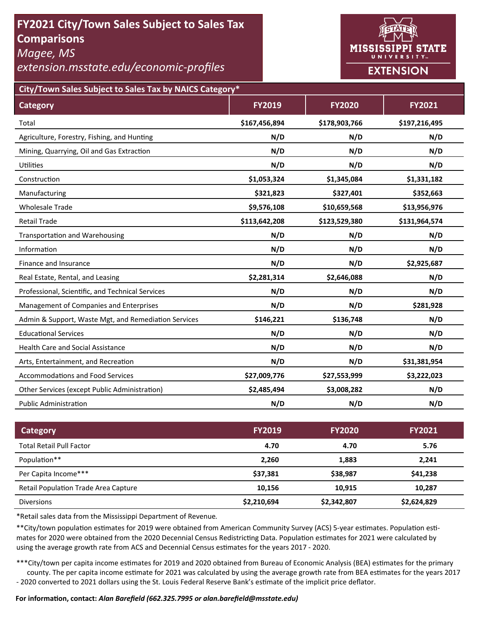# **FY2021 City/Town Sales Subject to Sales Tax Comparisons**

*Magee, MS* 

*extension.msstate.edu/economic‐profiles* 



**City/Town Sales Subject to Sales Tax by NAICS Category\***

| <b>Category</b>                                      | <b>FY2019</b> | <b>FY2020</b> | <b>FY2021</b> |
|------------------------------------------------------|---------------|---------------|---------------|
| Total                                                | \$167,456,894 | \$178,903,766 | \$197,216,495 |
| Agriculture, Forestry, Fishing, and Hunting          | N/D           | N/D           | N/D           |
| Mining, Quarrying, Oil and Gas Extraction            | N/D           | N/D           | N/D           |
| Utilities                                            | N/D           | N/D           | N/D           |
| Construction                                         | \$1,053,324   | \$1,345,084   | \$1,331,182   |
| Manufacturing                                        | \$321,823     | \$327,401     | \$352,663     |
| <b>Wholesale Trade</b>                               | \$9,576,108   | \$10,659,568  | \$13,956,976  |
| <b>Retail Trade</b>                                  | \$113,642,208 | \$123,529,380 | \$131,964,574 |
| <b>Transportation and Warehousing</b>                | N/D           | N/D           | N/D           |
| Information                                          | N/D           | N/D           | N/D           |
| Finance and Insurance                                | N/D           | N/D           | \$2,925,687   |
| Real Estate, Rental, and Leasing                     | \$2,281,314   | \$2,646,088   | N/D           |
| Professional, Scientific, and Technical Services     | N/D           | N/D           | N/D           |
| Management of Companies and Enterprises              | N/D           | N/D           | \$281,928     |
| Admin & Support, Waste Mgt, and Remediation Services | \$146,221     | \$136,748     | N/D           |
| <b>Educational Services</b>                          | N/D           | N/D           | N/D           |
| <b>Health Care and Social Assistance</b>             | N/D           | N/D           | N/D           |
| Arts, Entertainment, and Recreation                  | N/D           | N/D           | \$31,381,954  |
| <b>Accommodations and Food Services</b>              | \$27,009,776  | \$27,553,999  | \$3,222,023   |
| Other Services (except Public Administration)        | \$2,485,494   | \$3,008,282   | N/D           |
| <b>Public Administration</b>                         | N/D           | N/D           | N/D           |

| Category                             | <b>FY2019</b> | <b>FY2020</b> | <b>FY2021</b> |
|--------------------------------------|---------------|---------------|---------------|
| <b>Total Retail Pull Factor</b>      | 4.70          | 4.70          | 5.76          |
| Population**                         | 2,260         | 1,883         | 2,241         |
| Per Capita Income***                 | \$37,381      | \$38,987      | \$41,238      |
| Retail Population Trade Area Capture | 10,156        | 10.915        | 10,287        |
| <b>Diversions</b>                    | \$2,210,694   | \$2,342,807   | \$2,624,829   |

\*Retail sales data from the Mississippi Department of Revenue*.* 

\*\*City/town population estimates for 2019 were obtained from American Community Survey (ACS) 5-year estimates. Population estimates for 2020 were obtained from the 2020 Decennial Census Redistricting Data. Population estimates for 2021 were calculated by using the average growth rate from ACS and Decennial Census estimates for the years 2017 - 2020.

\*\*\*City/town per capita income estimates for 2019 and 2020 obtained from Bureau of Economic Analysis (BEA) estimates for the primary county. The per capita income estimate for 2021 was calculated by using the average growth rate from BEA estimates for the years 2017 - 2020 converted to 2021 dollars using the St. Louis Federal Reserve Bank's estimate of the implicit price deflator.

### **For informaƟon, contact:** *Alan Barefield (662.325.7995 or alan.barefield@msstate.edu)*